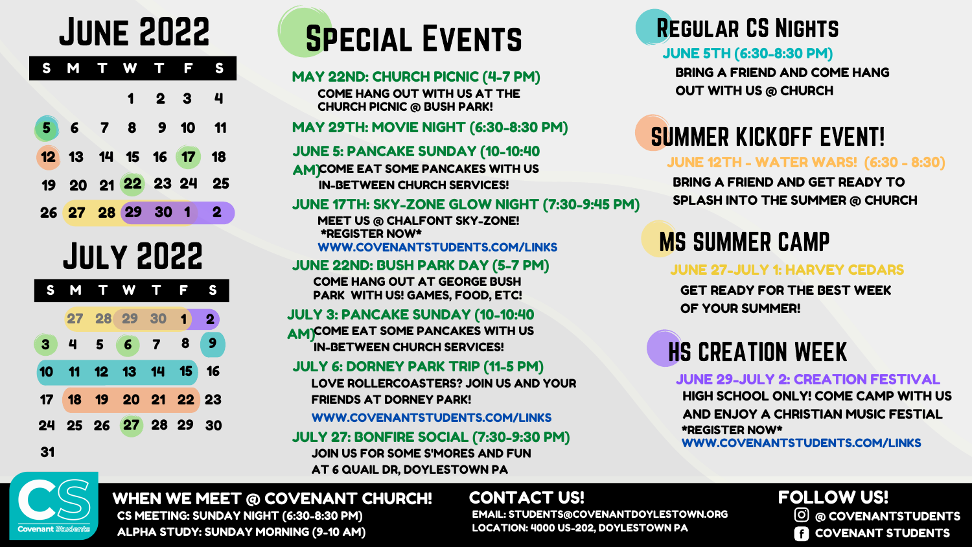## June 2022

|    |  | M T W S | Ĥ |                          |  |
|----|--|---------|---|--------------------------|--|
|    |  |         |   | $1\quad 2\quad 3\quad 4$ |  |
| 5) |  |         |   | 6 7 8 9 10 11            |  |
|    |  |         |   | 12 13 14 15 16 17 18     |  |
|    |  |         |   | 19 20 21 22 23 24 25     |  |
|    |  |         |   | 26 27 28 29 30 1 2       |  |

# Special Events

### MAY 22ND: CHURCH PICNIC (4-7 PM)

MAY 29TH: MOVIE NIGHT (6:30-8:30 PM)

JUNE 17TH: SKY-ZONE GLOW NIGHT (7:30-9:45 PM)

### JUNE 22ND: BUSH PARK DAY (5-7 PM)

### Regular CS Nights

### JUNE 5TH (6:30-8:30 PM)

## SUMMER KICKOFF EVENT!

#### JUNE 12TH - WATER WARS! (6:30 - 8:30)

## MS SUMMER CAMP

### JUNE 27-JULY 1: HARVEY CEDARS

BRING A FRIEND AND COME HANG OUT WITH US @ CHURCH

BRING A FRIEND AND GET READY TO SPLASH INTO THE SUMMER @ CHURCH

GET READY FOR THE BEST WEEK OF YOUR SUMMER!

COME HANG OUT WITH US AT THE CHURCH PICNIC @ BUSH PARK!

MEET US @ CHALFONT SKY-ZONE! \*REGISTER NOW\* WWW.COVENANTSTUDENTS.COM/LINKS

COME HANG OUT AT GEORGE BUSH PARK WITH US! GAMES, FOOD, ETC!

CONTACT US! FOLLOW US!

## HS CREATION WEEK

JUNE 29-JULY 2: CREATION FESTIVAL

### WHEN WE MEET @ COVENANT CHURCH!

@ COVENANTSTUDENTS

**COVENANT STUDENTS** 

EMAIL: STUDENTS@COVENANTDOYLESTOWN.ORG LOCATION: 4000 US-202, DOYLESTOWN PA

CS MEETING: SUNDAY NIGHT (6:30-8:30 PM) ALPHA STUDY: SUNDAY MORNING (9-10 AM)

## July 2022

HIGH SCHOOL ONLY! COME CAMP WITH US AND ENJOY A CHRISTIAN MUSIC FESTIAL \*REGISTER NOW\* WWW.COVENANTSTUDENTS.COM/LINKS



### JULY 3: PANCAKE SUNDAY (10-10:40

AM)COME EAT SOME PANCAKES WITH US IN-BETWEEN CHURCH SERVICES!

### JULY 6: DORNEY PARK TRIP (11-5 PM)

### JULY 27: BONFIRE SOCIAL (7:30-9:30 PM)

JOIN US FOR SOME S'MORES AND FUN AT 6 QUAIL DR, DOYLESTOWN PA



LOVE ROLLERCOASTERS? JOIN US AND YOUR FRIENDS AT DORNEY PARK!

WWW.COVENANTSTUDENTS.COM/LINKS

### JUNE 5: PANCAKE SUNDAY (10-10:40

AM)COME EAT SOME PANCAKES WITH US IN-BETWEEN CHURCH SERVICES!